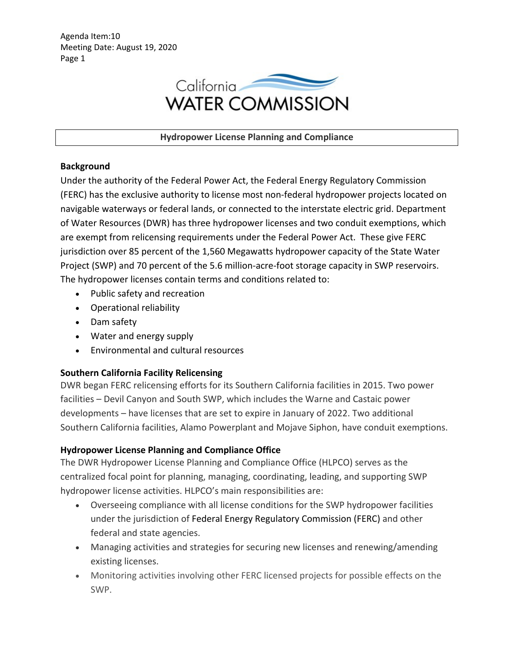

**Hydropower License Planning and Compliance** 

## **Background**

Under the authority of the Federal Power Act, the Federal Energy Regulatory Commission (FERC) has the exclusive authority to license most non-federal hydropower projects located on navigable waterways or federal lands, or connected to the interstate electric grid. Department of Water Resources (DWR) has three hydropower licenses and two conduit exemptions, which are exempt from relicensing requirements under the Federal Power Act. These give FERC jurisdiction over 85 percent of the 1,560 Megawatts hydropower capacity of the State Water Project (SWP) and 70 percent of the 5.6 million-acre-foot storage capacity in SWP reservoirs. The hydropower licenses contain terms and conditions related to:

- Public safety and recreation
- Operational reliability
- Dam safety
- Water and energy supply
- Environmental and cultural resources

# **Southern California Facility Relicensing**

DWR began FERC relicensing efforts for its Southern California facilities in 2015. Two power facilities – Devil Canyon and South SWP, which includes the Warne and Castaic power developments – have licenses that are set to expire in January of 2022. Two additional Southern California facilities, Alamo Powerplant and Mojave Siphon, have conduit exemptions.

# **Hydropower License Planning and Compliance Office**

The DWR Hydropower License Planning and Compliance Office (HLPCO) serves as the centralized focal point for planning, managing, coordinating, leading, and supporting SWP hydropower license activities. HLPCO's main responsibilities are:

- Overseeing compliance with all license conditions for the SWP hydropower facilities under the jurisdiction of Federal Energy Regulatory Commission (FERC) and other federal and state agencies.
- Managing activities and strategies for securing new licenses and renewing/amending existing licenses.
- Monitoring activities involving other FERC licensed projects for possible effects on the SWP.